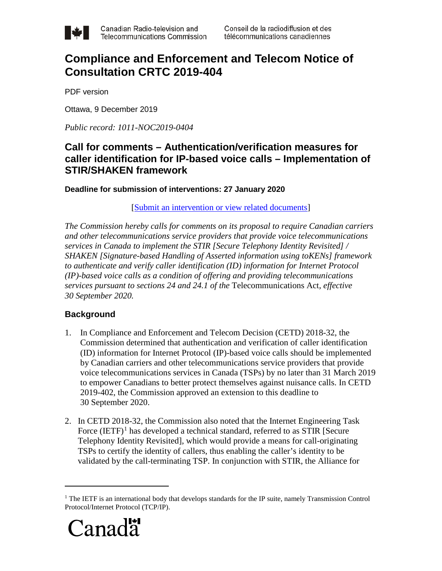

# **Compliance and Enforcement and Telecom Notice of Consultation CRTC 2019-404**

PDF version

Ottawa, 9 December 2019

*Public record: 1011-NOC2019-0404*

# **Call for comments – Authentication/verification measures for caller identification for IP-based voice calls – Implementation of STIR/SHAKEN framework**

**Deadline for submission of interventions: 27 January 2020**

### [\[Submit an intervention or view related documents\]](https://services.crtc.gc.ca/pub/instances-proceedings/Default-defaut.aspx?EN=2019-404&Lang=eng)

*The Commission hereby calls for comments on its proposal to require Canadian carriers and other telecommunications service providers that provide voice telecommunications services in Canada to implement the STIR [Secure Telephony Identity Revisited] / SHAKEN [Signature-based Handling of Asserted information using toKENs] framework to authenticate and verify caller identification (ID) information for Internet Protocol (IP)-based voice calls as a condition of offering and providing telecommunications services pursuant to sections 24 and 24.1 of the* Telecommunications Act*, effective 30 September 2020.*

## **Background**

- 1. In Compliance and Enforcement and Telecom Decision (CETD) 2018-32, the Commission determined that authentication and verification of caller identification (ID) information for Internet Protocol (IP)-based voice calls should be implemented by Canadian carriers and other telecommunications service providers that provide voice telecommunications services in Canada (TSPs) by no later than 31 March 2019 to empower Canadians to better protect themselves against nuisance calls. In CETD 2019-402, the Commission approved an extension to this deadline to 30 September 2020.
- 2. In CETD 2018-32, the Commission also noted that the Internet Engineering Task Force  $(IETF)^1$  $(IETF)^1$  has developed a technical standard, referred to as STIR [Secure Telephony Identity Revisited], which would provide a means for call-originating TSPs to certify the identity of callers, thus enabling the caller's identity to be validated by the call-terminating TSP. In conjunction with STIR, the Alliance for

<span id="page-0-0"></span><sup>&</sup>lt;sup>1</sup> The IETF is an international body that develops standards for the IP suite, namely Transmission Control Protocol/Internet Protocol (TCP/IP).



 $\overline{a}$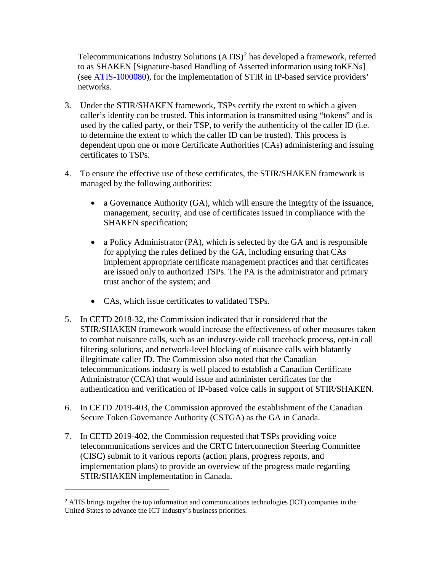Telecommunications Industry Solutions (ATIS)<sup>[2](#page-1-0)</sup> has developed a framework, referred to as SHAKEN [Signature-based Handling of Asserted information using toKENs] (see [ATIS-1000080\)](https://www.atis.org/sti-ga/resources/docs/ATIS-1000080.pdf), for the implementation of STIR in IP-based service providers' networks.

- 3. Under the STIR/SHAKEN framework, TSPs certify the extent to which a given caller's identity can be trusted. This information is transmitted using "tokens" and is used by the called party, or their TSP, to verify the authenticity of the caller ID (i.e. to determine the extent to which the caller ID can be trusted). This process is dependent upon one or more Certificate Authorities (CAs) administering and issuing certificates to TSPs.
- 4. To ensure the effective use of these certificates, the STIR/SHAKEN framework is managed by the following authorities:
	- a Governance Authority (GA), which will ensure the integrity of the issuance, management, security, and use of certificates issued in compliance with the SHAKEN specification;
	- a Policy Administrator (PA), which is selected by the GA and is responsible for applying the rules defined by the GA, including ensuring that CAs implement appropriate certificate management practices and that certificates are issued only to authorized TSPs. The PA is the administrator and primary trust anchor of the system; and
	- CAs, which issue certificates to validated TSPs.
- 5. In CETD 2018-32, the Commission indicated that it considered that the STIR/SHAKEN framework would increase the effectiveness of other measures taken to combat nuisance calls, such as an industry-wide call traceback process, opt-in call filtering solutions, and network-level blocking of nuisance calls with blatantly illegitimate caller ID. The Commission also noted that the Canadian telecommunications industry is well placed to establish a Canadian Certificate Administrator (CCA) that would issue and administer certificates for the authentication and verification of IP-based voice calls in support of STIR/SHAKEN.
- 6. In CETD 2019-403, the Commission approved the establishment of the Canadian Secure Token Governance Authority (CSTGA) as the GA in Canada.
- 7. In CETD 2019-402, the Commission requested that TSPs providing voice telecommunications services and the CRTC Interconnection Steering Committee (CISC) submit to it various reports (action plans, progress reports, and implementation plans) to provide an overview of the progress made regarding STIR/SHAKEN implementation in Canada.

 $\overline{a}$ 

<span id="page-1-0"></span> $<sup>2</sup>$  ATIS brings together the top information and communications technologies (ICT) companies in the</sup> United States to advance the ICT industry's business priorities.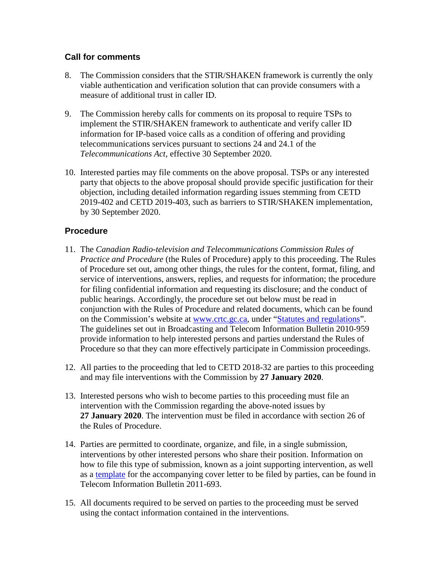### **Call for comments**

- 8. The Commission considers that the STIR/SHAKEN framework is currently the only viable authentication and verification solution that can provide consumers with a measure of additional trust in caller ID.
- 9. The Commission hereby calls for comments on its proposal to require TSPs to implement the STIR/SHAKEN framework to authenticate and verify caller ID information for IP-based voice calls as a condition of offering and providing telecommunications services pursuant to sections 24 and 24.1 of the *Telecommunications Act*, effective 30 September 2020.
- 10. Interested parties may file comments on the above proposal. TSPs or any interested party that objects to the above proposal should provide specific justification for their objection, including detailed information regarding issues stemming from CETD 2019-402 and CETD 2019-403, such as barriers to STIR/SHAKEN implementation, by 30 September 2020.

## **Procedure**

- 11. The *Canadian Radio-television and Telecommunications Commission Rules of Practice and Procedure* (the Rules of Procedure) apply to this proceeding. The Rules of Procedure set out, among other things, the rules for the content, format, filing, and service of interventions, answers, replies, and requests for information; the procedure for filing confidential information and requesting its disclosure; and the conduct of public hearings. Accordingly, the procedure set out below must be read in conjunction with the Rules of Procedure and related documents, which can be found on the Commission's website at [www.crtc.gc.ca,](http://www.crtc.gc.ca/) under ["Statutes and regulations"](http://crtc.gc.ca/eng/statutes-lois.htm). The guidelines set out in Broadcasting and Telecom Information Bulletin 2010-959 provide information to help interested persons and parties understand the Rules of Procedure so that they can more effectively participate in Commission proceedings.
- 12. All parties to the proceeding that led to CETD 2018-32 are parties to this proceeding and may file interventions with the Commission by **27 January 2020**.
- 13. Interested persons who wish to become parties to this proceeding must file an intervention with the Commission regarding the above-noted issues by **27 January 2020**. The intervention must be filed in accordance with section 26 of the Rules of Procedure.
- 14. Parties are permitted to coordinate, organize, and file, in a single submission, interventions by other interested persons who share their position. Information on how to file this type of submission, known as a joint supporting intervention, as well as a [template](http://www.crtc.gc.ca/eng/file/jsit-ifct.htm) for the accompanying cover letter to be filed by parties, can be found in Telecom Information Bulletin 2011-693.
- 15. All documents required to be served on parties to the proceeding must be served using the contact information contained in the interventions.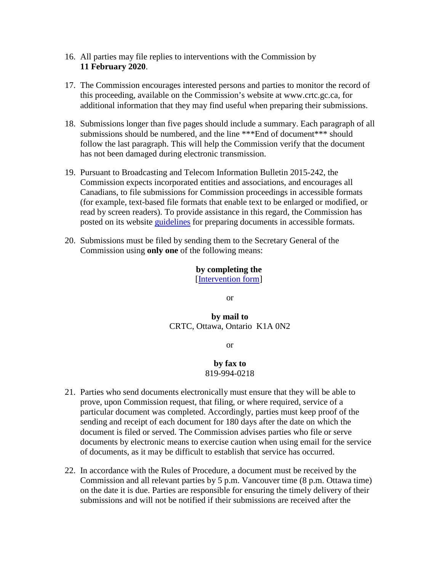- 16. All parties may file replies to interventions with the Commission by **11 February 2020**.
- 17. The Commission encourages interested persons and parties to monitor the record of this proceeding, available on the Commission's website at www.crtc.gc.ca, for additional information that they may find useful when preparing their submissions.
- 18. Submissions longer than five pages should include a summary. Each paragraph of all submissions should be numbered, and the line \*\*\*End of document\*\*\* should follow the last paragraph. This will help the Commission verify that the document has not been damaged during electronic transmission.
- 19. Pursuant to Broadcasting and Telecom Information Bulletin 2015-242, the Commission expects incorporated entities and associations, and encourages all Canadians, to file submissions for Commission proceedings in accessible formats (for example, text-based file formats that enable text to be enlarged or modified, or read by screen readers). To provide assistance in this regard, the Commission has posted on its website *guidelines* for preparing documents in accessible formats.
- 20. Submissions must be filed by sending them to the Secretary General of the Commission using **only one** of the following means:

# **by completing the**

[\[Intervention form\]](https://services.crtc.gc.ca/pub/instances-proceedings/Default-defaut.aspx?EN=2019-404&Lang=eng)

or

### **by mail to** CRTC, Ottawa, Ontario K1A 0N2

or

#### **by fax to** 819-994-0218

- 21. Parties who send documents electronically must ensure that they will be able to prove, upon Commission request, that filing, or where required, service of a particular document was completed. Accordingly, parties must keep proof of the sending and receipt of each document for 180 days after the date on which the document is filed or served. The Commission advises parties who file or serve documents by electronic means to exercise caution when using email for the service of documents, as it may be difficult to establish that service has occurred.
- 22. In accordance with the Rules of Procedure, a document must be received by the Commission and all relevant parties by 5 p.m. Vancouver time (8 p.m. Ottawa time) on the date it is due. Parties are responsible for ensuring the timely delivery of their submissions and will not be notified if their submissions are received after the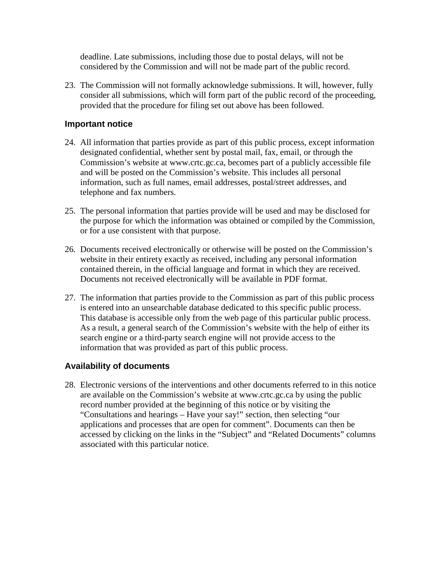deadline. Late submissions, including those due to postal delays, will not be considered by the Commission and will not be made part of the public record.

23. The Commission will not formally acknowledge submissions. It will, however, fully consider all submissions, which will form part of the public record of the proceeding, provided that the procedure for filing set out above has been followed.

#### **Important notice**

- 24. All information that parties provide as part of this public process, except information designated confidential, whether sent by postal mail, fax, email, or through the Commission's website at www.crtc.gc.ca, becomes part of a publicly accessible file and will be posted on the Commission's website. This includes all personal information, such as full names, email addresses, postal/street addresses, and telephone and fax numbers.
- 25. The personal information that parties provide will be used and may be disclosed for the purpose for which the information was obtained or compiled by the Commission, or for a use consistent with that purpose.
- 26. Documents received electronically or otherwise will be posted on the Commission's website in their entirety exactly as received, including any personal information contained therein, in the official language and format in which they are received. Documents not received electronically will be available in PDF format.
- 27. The information that parties provide to the Commission as part of this public process is entered into an unsearchable database dedicated to this specific public process. This database is accessible only from the web page of this particular public process. As a result, a general search of the Commission's website with the help of either its search engine or a third-party search engine will not provide access to the information that was provided as part of this public process.

### **Availability of documents**

28. Electronic versions of the interventions and other documents referred to in this notice are available on the Commission's website at www.crtc.gc.ca by using the public record number provided at the beginning of this notice or by visiting the "Consultations and hearings – Have your say!" section, then selecting "our applications and processes that are open for comment". Documents can then be accessed by clicking on the links in the "Subject" and "Related Documents" columns associated with this particular notice.